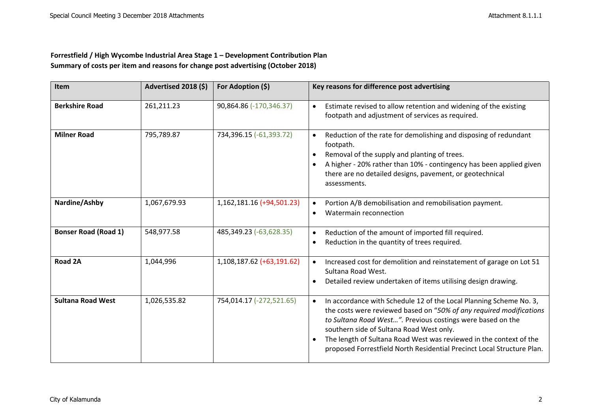## **Forrestfield / High Wycombe Industrial Area Stage 1 – Development Contribution Plan Summary of costs per item and reasons for change post advertising (October 2018)**

| <b>Item</b>                 | Advertised 2018 (\$) | For Adoption (\$)         | Key reasons for difference post advertising                                                                                                                                                                                                                                                                                                                                                                                   |
|-----------------------------|----------------------|---------------------------|-------------------------------------------------------------------------------------------------------------------------------------------------------------------------------------------------------------------------------------------------------------------------------------------------------------------------------------------------------------------------------------------------------------------------------|
| <b>Berkshire Road</b>       | 261,211.23           | 90,864.86 (-170,346.37)   | Estimate revised to allow retention and widening of the existing<br>$\bullet$<br>footpath and adjustment of services as required.                                                                                                                                                                                                                                                                                             |
| <b>Milner Road</b>          | 795,789.87           | 734,396.15 (-61,393.72)   | Reduction of the rate for demolishing and disposing of redundant<br>$\bullet$<br>footpath.<br>Removal of the supply and planting of trees.<br>$\bullet$<br>A higher - 20% rather than 10% - contingency has been applied given<br>$\bullet$<br>there are no detailed designs, pavement, or geotechnical<br>assessments.                                                                                                       |
| Nardine/Ashby               | 1,067,679.93         | 1,162,181.16 (+94,501.23) | Portion A/B demobilisation and remobilisation payment.<br>$\bullet$<br>Watermain reconnection<br>$\bullet$                                                                                                                                                                                                                                                                                                                    |
| <b>Bonser Road (Road 1)</b> | 548,977.58           | 485,349.23 (-63,628.35)   | Reduction of the amount of imported fill required.<br>$\bullet$<br>Reduction in the quantity of trees required.<br>$\bullet$                                                                                                                                                                                                                                                                                                  |
| Road 2A                     | 1,044,996            | 1,108,187.62 (+63,191.62) | Increased cost for demolition and reinstatement of garage on Lot 51<br>$\bullet$<br>Sultana Road West.<br>Detailed review undertaken of items utilising design drawing.<br>$\bullet$                                                                                                                                                                                                                                          |
| <b>Sultana Road West</b>    | 1,026,535.82         | 754,014.17 (-272,521.65)  | In accordance with Schedule 12 of the Local Planning Scheme No. 3,<br>$\bullet$<br>the costs were reviewed based on "50% of any required modifications<br>to Sultana Road West". Previous costings were based on the<br>southern side of Sultana Road West only.<br>The length of Sultana Road West was reviewed in the context of the<br>$\bullet$<br>proposed Forrestfield North Residential Precinct Local Structure Plan. |